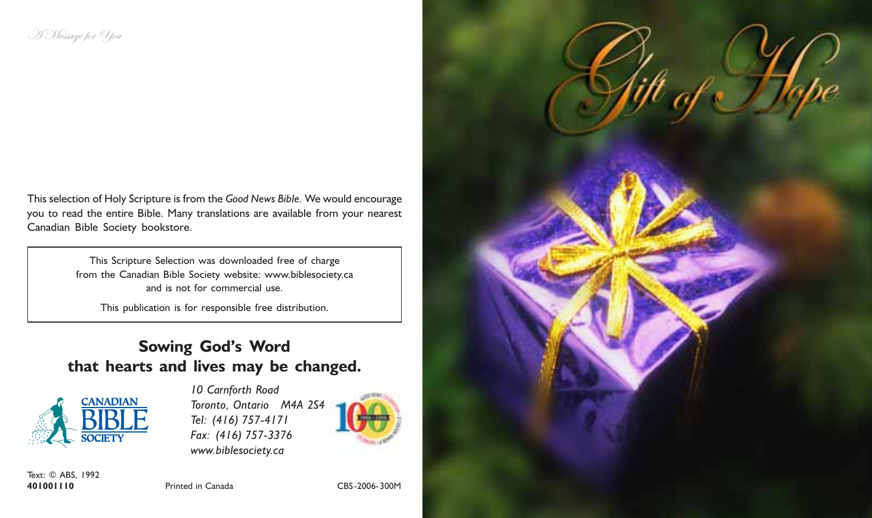This selection of Holy Scripture is from the Good News Bible. We would encourage you to read the entire Bible. Many translations are available from your nearest Canadian Bible Society bookstore.

> This Scripture Selection was downloaded free of charge from the Canadian Bible Society website: www.biblesociety.ca and is not for commercial use.

This publication is for responsible free distribution.

## Sowing God's Word that hearts and lives may be changed.



10 Carnforth Road Toronto, Ontario M4A 2S4 Tel: (416) 757-4171 Fax: (416) 757-3376 www.biblesociety.ca



Text: © ABS, 1992<br>401001110

401001110 Printed in Canada CBS-2006-300M